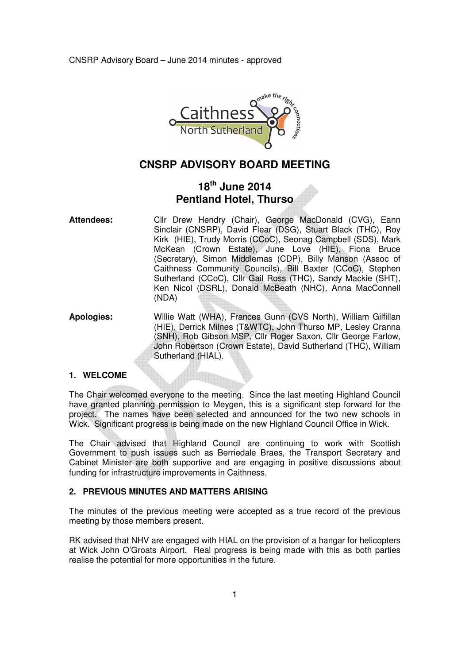

# **CNSRP ADVISORY BOARD MEETING**

# **18th June 2014 Pentland Hotel, Thurso**

- **Attendees:** Cllr Drew Hendry (Chair), George MacDonald (CVG), Eann Sinclair (CNSRP), David Flear (DSG), Stuart Black (THC), Roy Kirk (HIE), Trudy Morris (CCoC), Seonag Campbell (SDS), Mark McKean (Crown Estate), June Love (HIE), Fiona Bruce (Secretary), Simon Middlemas (CDP), Billy Manson (Assoc of Caithness Community Councils), Bill Baxter (CCoC), Stephen Sutherland (CCoC), Cllr Gail Ross (THC), Sandy Mackie (SHT), Ken Nicol (DSRL), Donald McBeath (NHC), Anna MacConnell (NDA)
- **Apologies:** Willie Watt (WHA), Frances Gunn (CVS North), William Gilfillan (HIE), Derrick Milnes (T&WTC), John Thurso MP, Lesley Cranna (SNH), Rob Gibson MSP, Cllr Roger Saxon, Cllr George Farlow, John Robertson (Crown Estate), David Sutherland (THC), William Sutherland (HIAL).

# **1. WELCOME**

The Chair welcomed everyone to the meeting. Since the last meeting Highland Council have granted planning permission to Meygen, this is a significant step forward for the project. The names have been selected and announced for the two new schools in Wick. Significant progress is being made on the new Highland Council Office in Wick.

The Chair advised that Highland Council are continuing to work with Scottish Government to push issues such as Berriedale Braes, the Transport Secretary and Cabinet Minister are both supportive and are engaging in positive discussions about funding for infrastructure improvements in Caithness.

## **2. PREVIOUS MINUTES AND MATTERS ARISING**

The minutes of the previous meeting were accepted as a true record of the previous meeting by those members present.

RK advised that NHV are engaged with HIAL on the provision of a hangar for helicopters at Wick John O'Groats Airport. Real progress is being made with this as both parties realise the potential for more opportunities in the future.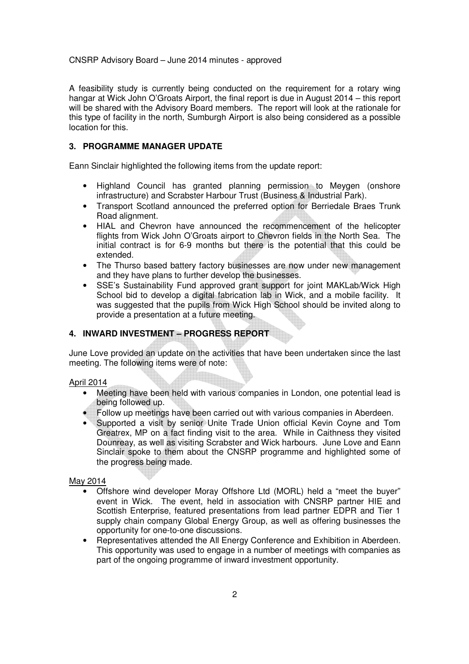A feasibility study is currently being conducted on the requirement for a rotary wing hangar at Wick John O'Groats Airport, the final report is due in August 2014 – this report will be shared with the Advisory Board members. The report will look at the rationale for this type of facility in the north, Sumburgh Airport is also being considered as a possible location for this.

#### **3. PROGRAMME MANAGER UPDATE**

Eann Sinclair highlighted the following items from the update report:

- Highland Council has granted planning permission to Meygen (onshore infrastructure) and Scrabster Harbour Trust (Business & Industrial Park).
- Transport Scotland announced the preferred option for Berriedale Braes Trunk Road alignment.
- HIAL and Chevron have announced the recommencement of the helicopter flights from Wick John O'Groats airport to Chevron fields in the North Sea. The initial contract is for 6-9 months but there is the potential that this could be extended.
- The Thurso based battery factory businesses are now under new management and they have plans to further develop the businesses.
- SSE's Sustainability Fund approved grant support for joint MAKLab/Wick High School bid to develop a digital fabrication lab in Wick, and a mobile facility. It was suggested that the pupils from Wick High School should be invited along to provide a presentation at a future meeting.

### **4. INWARD INVESTMENT – PROGRESS REPORT**

June Love provided an update on the activities that have been undertaken since the last meeting. The following items were of note:

#### April 2014

- Meeting have been held with various companies in London, one potential lead is being followed up.
- Follow up meetings have been carried out with various companies in Aberdeen.
- Supported a visit by senior Unite Trade Union official Kevin Coyne and Tom Greatrex, MP on a fact finding visit to the area. While in Caithness they visited Dounreay, as well as visiting Scrabster and Wick harbours. June Love and Eann Sinclair spoke to them about the CNSRP programme and highlighted some of the progress being made.

### May 2014

- Offshore wind developer Moray Offshore Ltd (MORL) held a "meet the buyer" event in Wick. The event, held in association with CNSRP partner HIE and Scottish Enterprise, featured presentations from lead partner EDPR and Tier 1 supply chain company Global Energy Group, as well as offering businesses the opportunity for one-to-one discussions.
- Representatives attended the All Energy Conference and Exhibition in Aberdeen. This opportunity was used to engage in a number of meetings with companies as part of the ongoing programme of inward investment opportunity.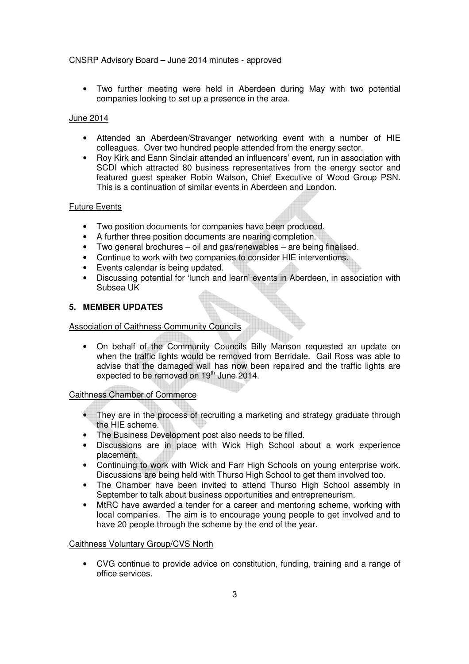• Two further meeting were held in Aberdeen during May with two potential companies looking to set up a presence in the area.

## June 2014

- Attended an Aberdeen/Stravanger networking event with a number of HIE colleagues. Over two hundred people attended from the energy sector.
- Roy Kirk and Eann Sinclair attended an influencers' event, run in association with SCDI which attracted 80 business representatives from the energy sector and featured guest speaker Robin Watson, Chief Executive of Wood Group PSN. This is a continuation of similar events in Aberdeen and London.

## Future Events

- Two position documents for companies have been produced.
- A further three position documents are nearing completion.
- Two general brochures oil and gas/renewables are being finalised.
- Continue to work with two companies to consider HIE interventions.
- Events calendar is being updated.
- Discussing potential for 'lunch and learn' events in Aberdeen, in association with Subsea UK

## **5. MEMBER UPDATES**

### Association of Caithness Community Councils

• On behalf of the Community Councils Billy Manson requested an update on when the traffic lights would be removed from Berridale. Gail Ross was able to advise that the damaged wall has now been repaired and the traffic lights are expected to be removed on 19<sup>th</sup> June 2014.

## Caithness Chamber of Commerce

- They are in the process of recruiting a marketing and strategy graduate through the HIE scheme.
- The Business Development post also needs to be filled.
- Discussions are in place with Wick High School about a work experience placement.
- Continuing to work with Wick and Farr High Schools on young enterprise work. Discussions are being held with Thurso High School to get them involved too.
- The Chamber have been invited to attend Thurso High School assembly in September to talk about business opportunities and entrepreneurism.
- MtRC have awarded a tender for a career and mentoring scheme, working with local companies. The aim is to encourage young people to get involved and to have 20 people through the scheme by the end of the year.

### Caithness Voluntary Group/CVS North

• CVG continue to provide advice on constitution, funding, training and a range of office services.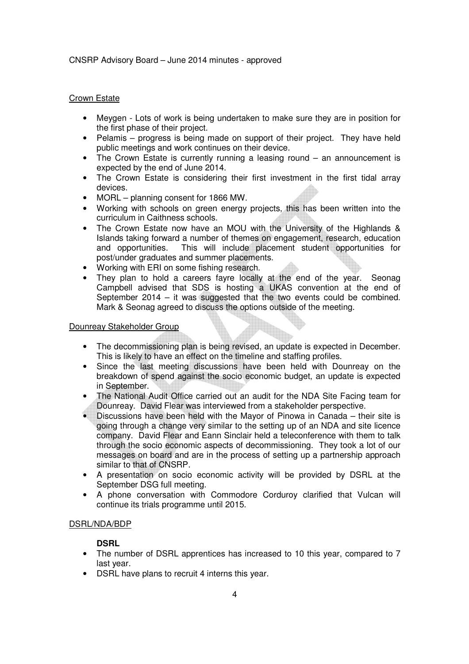## Crown Estate

- Meygen Lots of work is being undertaken to make sure they are in position for the first phase of their project.
- Pelamis progress is being made on support of their project. They have held public meetings and work continues on their device.
- The Crown Estate is currently running a leasing round an announcement is expected by the end of June 2014.
- The Crown Estate is considering their first investment in the first tidal array devices.
- MORL planning consent for 1866 MW.
- Working with schools on green energy projects, this has been written into the curriculum in Caithness schools.
- The Crown Estate now have an MOU with the University of the Highlands & Islands taking forward a number of themes on engagement, research, education and opportunities. This will include placement student opportunities for post/under graduates and summer placements.
- Working with ERI on some fishing research.
- They plan to hold a careers fayre locally at the end of the year. Seonag Campbell advised that SDS is hosting a UKAS convention at the end of September 2014 – it was suggested that the two events could be combined. Mark & Seonag agreed to discuss the options outside of the meeting.

#### Dounreay Stakeholder Group

- The decommissioning plan is being revised, an update is expected in December. This is likely to have an effect on the timeline and staffing profiles.
- Since the last meeting discussions have been held with Dounreay on the breakdown of spend against the socio economic budget, an update is expected in September.
- The National Audit Office carried out an audit for the NDA Site Facing team for Dounreay. David Flear was interviewed from a stakeholder perspective.
- Discussions have been held with the Mayor of Pinowa in Canada their site is going through a change very similar to the setting up of an NDA and site licence company. David Flear and Eann Sinclair held a teleconference with them to talk through the socio economic aspects of decommissioning. They took a lot of our messages on board and are in the process of setting up a partnership approach similar to that of CNSRP.
- A presentation on socio economic activity will be provided by DSRL at the September DSG full meeting.
- A phone conversation with Commodore Corduroy clarified that Vulcan will continue its trials programme until 2015.

### DSRL/NDA/BDP

### **DSRL**

- The number of DSRL apprentices has increased to 10 this year, compared to 7 last year.
- DSRL have plans to recruit 4 interns this year.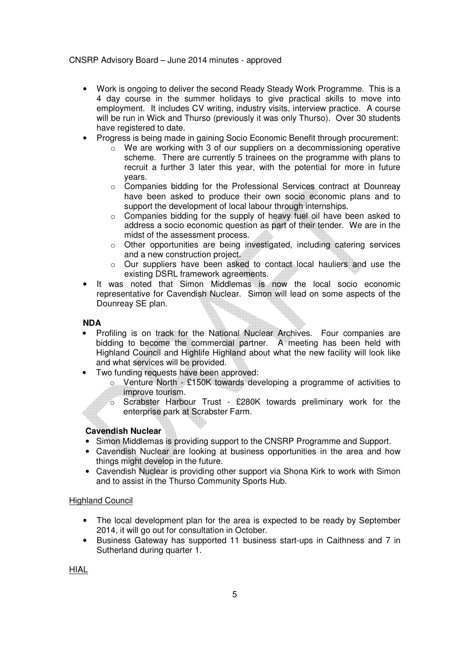- Work is ongoing to deliver the second Ready Steady Work Programme. This is a 4 day course in the summer holidays to give practical skills to move into employment. It includes CV writing, industry visits, interview practice. A course will be run in Wick and Thurso (previously it was only Thurso). Over 30 students have registered to date.
- Progress is being made in gaining Socio Economic Benefit through procurement:
	- o We are working with 3 of our suppliers on a decommissioning operative scheme. There are currently 5 trainees on the programme with plans to recruit a further 3 later this year, with the potential for more in future years.
	- o Companies bidding for the Professional Services contract at Dounreay have been asked to produce their own socio economic plans and to support the development of local labour through internships.
	- o Companies bidding for the supply of heavy fuel oil have been asked to address a socio economic question as part of their tender. We are in the midst of the assessment process.
	- o Other opportunities are being investigated, including catering services and a new construction project.
	- o Our suppliers have been asked to contact local hauliers and use the existing DSRL framework agreements.
- It was noted that Simon Middlemas is now the local socio economic representative for Cavendish Nuclear. Simon will lead on some aspects of the Dounreay SE plan.

### **NDA**

- Profiling is on track for the National Nuclear Archives. Four companies are bidding to become the commercial partner. A meeting has been held with Highland Council and Highlife Highland about what the new facility will look like and what services will be provided.
- Two funding requests have been approved:
	- o Venture North £150K towards developing a programme of activities to improve tourism.
	- o Scrabster Harbour Trust £280K towards preliminary work for the enterprise park at Scrabster Farm.

### **Cavendish Nuclear**

- Simon Middlemas is providing support to the CNSRP Programme and Support.
- Cavendish Nuclear are looking at business opportunities in the area and how things might develop in the future.
- Cavendish Nuclear is providing other support via Shona Kirk to work with Simon and to assist in the Thurso Community Sports Hub.

### Highland Council

- The local development plan for the area is expected to be ready by September 2014, it will go out for consultation in October.
- Business Gateway has supported 11 business start-ups in Caithness and 7 in Sutherland during quarter 1.

HIAL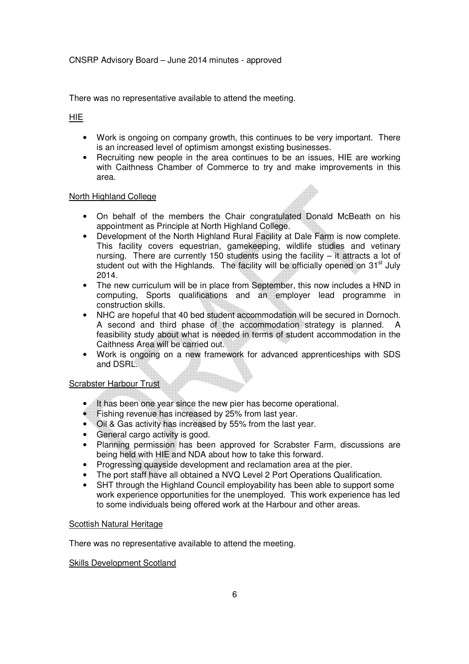There was no representative available to attend the meeting.

HIE

- Work is ongoing on company growth, this continues to be very important. There is an increased level of optimism amongst existing businesses.
- Recruiting new people in the area continues to be an issues, HIE are working with Caithness Chamber of Commerce to try and make improvements in this area.

### North Highland College

- On behalf of the members the Chair congratulated Donald McBeath on his appointment as Principle at North Highland College.
- Development of the North Highland Rural Facility at Dale Farm is now complete. This facility covers equestrian, gamekeeping, wildlife studies and vetinary nursing. There are currently 150 students using the facility – it attracts a lot of student out with the Highlands. The facility will be officially opened on 31<sup>st</sup> July 2014.
- The new curriculum will be in place from September, this now includes a HND in computing, Sports qualifications and an employer lead programme in construction skills.
- NHC are hopeful that 40 bed student accommodation will be secured in Dornoch. A second and third phase of the accommodation strategy is planned. A feasibility study about what is needed in terms of student accommodation in the Caithness Area will be carried out.
- Work is ongoing on a new framework for advanced apprenticeships with SDS and DSRL.

## Scrabster Harbour Trust

- It has been one year since the new pier has become operational.
- Fishing revenue has increased by 25% from last year.
- Oil & Gas activity has increased by 55% from the last year.
- General cargo activity is good.
- Planning permission has been approved for Scrabster Farm, discussions are being held with HIE and NDA about how to take this forward.
- Progressing quayside development and reclamation area at the pier.
- The port staff have all obtained a NVQ Level 2 Port Operations Qualification.
- SHT through the Highland Council employability has been able to support some work experience opportunities for the unemployed. This work experience has led to some individuals being offered work at the Harbour and other areas.

### Scottish Natural Heritage

There was no representative available to attend the meeting.

Skills Development Scotland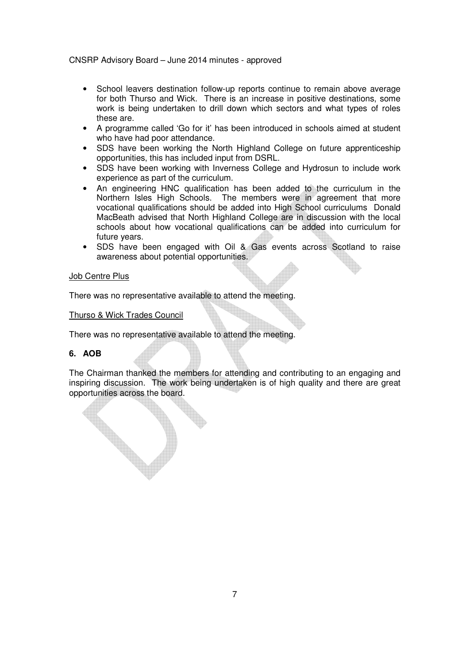- School leavers destination follow-up reports continue to remain above average for both Thurso and Wick. There is an increase in positive destinations, some work is being undertaken to drill down which sectors and what types of roles these are.
- A programme called 'Go for it' has been introduced in schools aimed at student who have had poor attendance.
- SDS have been working the North Highland College on future apprenticeship opportunities, this has included input from DSRL.
- SDS have been working with Inverness College and Hydrosun to include work experience as part of the curriculum.
- An engineering HNC qualification has been added to the curriculum in the Northern Isles High Schools. The members were in agreement that more vocational qualifications should be added into High School curriculums Donald MacBeath advised that North Highland College are in discussion with the local schools about how vocational qualifications can be added into curriculum for future years.
- SDS have been engaged with Oil & Gas events across Scotland to raise awareness about potential opportunities.

#### Job Centre Plus

There was no representative available to attend the meeting.

#### Thurso & Wick Trades Council

There was no representative available to attend the meeting.

### **6. AOB**

The Chairman thanked the members for attending and contributing to an engaging and inspiring discussion. The work being undertaken is of high quality and there are great opportunities across the board.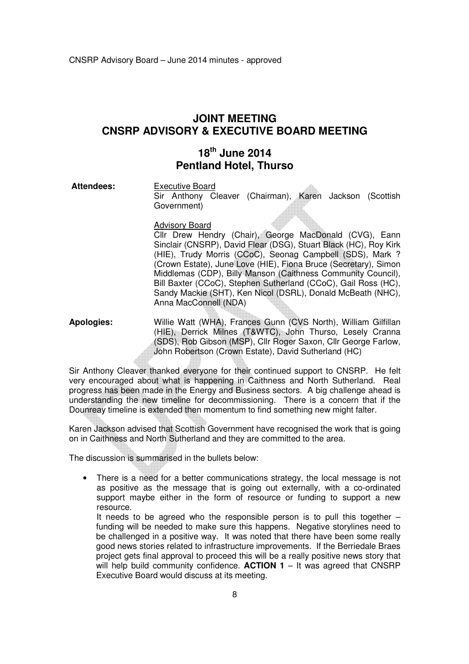# **JOINT MEETING CNSRP ADVISORY & EXECUTIVE BOARD MEETING**

# **18th June 2014 Pentland Hotel, Thurso**

Attendees: Executive Board

Sir Anthony Cleaver (Chairman), Karen Jackson (Scottish Government)

#### Advisory Board

Cllr Drew Hendry (Chair), George MacDonald (CVG), Eann Sinclair (CNSRP), David Flear (DSG), Stuart Black (HC), Roy Kirk (HIE), Trudy Morris (CCoC), Seonag Campbell (SDS), Mark ? (Crown Estate), June Love (HIE), Fiona Bruce (Secretary), Simon Middlemas (CDP), Billy Manson (Caithness Community Council), Bill Baxter (CCoC), Stephen Sutherland (CCoC), Gail Ross (HC), Sandy Mackie (SHT), Ken Nicol (DSRL), Donald McBeath (NHC), Anna MacConnell (NDA)

**Apologies:** Willie Watt (WHA), Frances Gunn (CVS North), William Gilfillan (HIE), Derrick Milnes (T&WTC), John Thurso, Lesely Cranna (SDS), Rob Gibson (MSP), Cllr Roger Saxon, Cllr George Farlow, John Robertson (Crown Estate), David Sutherland (HC)

Sir Anthony Cleaver thanked everyone for their continued support to CNSRP. He felt very encouraged about what is happening in Caithness and North Sutherland. Real progress has been made in the Energy and Business sectors. A big challenge ahead is understanding the new timeline for decommissioning. There is a concern that if the Dounreay timeline is extended then momentum to find something new might falter.

Karen Jackson advised that Scottish Government have recognised the work that is going on in Caithness and North Sutherland and they are committed to the area.

The discussion is summarised in the bullets below:

• There is a need for a better communications strategy, the local message is not as positive as the message that is going out externally, with a co-ordinated support maybe either in the form of resource or funding to support a new resource.

 It needs to be agreed who the responsible person is to pull this together – funding will be needed to make sure this happens. Negative storylines need to be challenged in a positive way. It was noted that there have been some really good news stories related to infrastructure improvements. If the Berriedale Braes project gets final approval to proceed this will be a really positive news story that will help build community confidence.  $ACTION 1 - It$  was agreed that CNSRP Executive Board would discuss at its meeting.